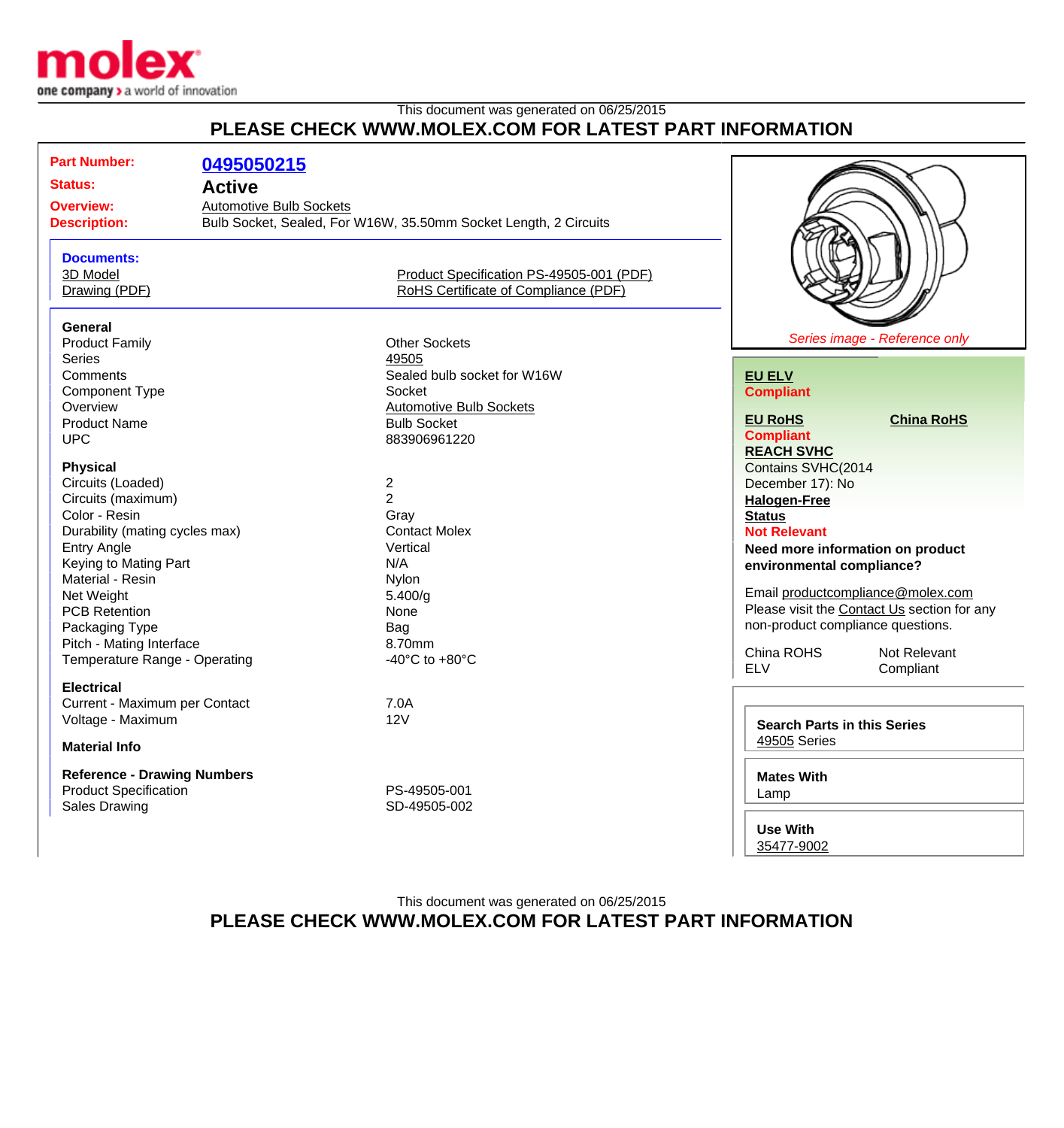

## This document was generated on 06/25/2015 **PLEASE CHECK WWW.MOLEX.COM FOR LATEST PART INFORMATION**

| <b>Part Number:</b>                       | 0495050215                     |                                                                  |                           |                                             |                               |  |
|-------------------------------------------|--------------------------------|------------------------------------------------------------------|---------------------------|---------------------------------------------|-------------------------------|--|
| <b>Status:</b>                            | <b>Active</b>                  |                                                                  |                           |                                             |                               |  |
| <b>Overview:</b>                          | <b>Automotive Bulb Sockets</b> |                                                                  |                           |                                             |                               |  |
| <b>Description:</b>                       |                                | Bulb Socket, Sealed, For W16W, 35.50mm Socket Length, 2 Circuits |                           |                                             |                               |  |
|                                           |                                |                                                                  |                           |                                             |                               |  |
| <b>Documents:</b>                         |                                |                                                                  |                           |                                             |                               |  |
| 3D Model                                  |                                | Product Specification PS-49505-001 (PDF)                         |                           |                                             |                               |  |
| Drawing (PDF)                             |                                | RoHS Certificate of Compliance (PDF)                             |                           |                                             |                               |  |
|                                           |                                |                                                                  |                           |                                             |                               |  |
| <b>General</b>                            |                                |                                                                  |                           |                                             |                               |  |
| <b>Product Family</b>                     |                                | <b>Other Sockets</b>                                             |                           |                                             | Series image - Reference only |  |
| Series                                    |                                | 49505                                                            |                           |                                             |                               |  |
| Comments                                  |                                | Sealed bulb socket for W16W                                      |                           | <b>EU ELV</b>                               |                               |  |
| <b>Component Type</b>                     |                                | Socket                                                           |                           | <b>Compliant</b>                            |                               |  |
| Overview                                  |                                | <b>Automotive Bulb Sockets</b>                                   |                           |                                             |                               |  |
| <b>Product Name</b>                       |                                | <b>Bulb Socket</b>                                               |                           | <b>EU RoHS</b>                              | <b>China RoHS</b>             |  |
| <b>UPC</b>                                |                                | 883906961220                                                     |                           | <b>Compliant</b>                            |                               |  |
|                                           |                                |                                                                  |                           | <b>REACH SVHC</b>                           |                               |  |
| <b>Physical</b>                           |                                |                                                                  |                           | Contains SVHC(2014                          |                               |  |
| Circuits (Loaded)                         |                                | $\boldsymbol{2}$                                                 |                           | December 17): No                            |                               |  |
| Circuits (maximum)                        |                                | $\overline{2}$                                                   |                           | <b>Halogen-Free</b>                         |                               |  |
| Color - Resin                             |                                | Gray                                                             |                           | <b>Status</b>                               |                               |  |
| Durability (mating cycles max)            |                                | <b>Contact Molex</b>                                             |                           | <b>Not Relevant</b>                         |                               |  |
| <b>Entry Angle</b>                        |                                | Vertical<br>N/A                                                  |                           | Need more information on product            |                               |  |
| Keying to Mating Part<br>Material - Resin |                                |                                                                  | environmental compliance? |                                             |                               |  |
| Net Weight                                |                                | Nylon<br>5.400/q                                                 |                           | Email productcompliance@molex.com           |                               |  |
| <b>PCB Retention</b>                      |                                | None                                                             |                           | Please visit the Contact Us section for any |                               |  |
| Packaging Type                            |                                | Bag                                                              |                           | non-product compliance questions.           |                               |  |
| Pitch - Mating Interface                  |                                | 8.70mm                                                           |                           |                                             |                               |  |
| Temperature Range - Operating             |                                | -40 $^{\circ}$ C to +80 $^{\circ}$ C                             |                           | China ROHS                                  | Not Relevant                  |  |
|                                           |                                |                                                                  |                           | <b>ELV</b>                                  | Compliant                     |  |
| <b>Electrical</b>                         |                                |                                                                  |                           |                                             |                               |  |
| Current - Maximum per Contact             |                                | 7.0A                                                             |                           |                                             |                               |  |
| Voltage - Maximum                         |                                | 12V                                                              |                           | <b>Search Parts in this Series</b>          |                               |  |
| <b>Material Info</b>                      |                                |                                                                  | 49505 Series              |                                             |                               |  |
|                                           |                                |                                                                  |                           |                                             |                               |  |
| <b>Reference - Drawing Numbers</b>        |                                |                                                                  | <b>Mates With</b>         |                                             |                               |  |
| <b>Product Specification</b>              |                                | PS-49505-001                                                     |                           | Lamp                                        |                               |  |
| <b>Sales Drawing</b>                      |                                | SD-49505-002                                                     |                           |                                             |                               |  |
|                                           |                                |                                                                  |                           | <b>Use With</b>                             |                               |  |

[35477-9002](http://www.molex.com/molex/products/listview.jsp?channel=Products&sType=p&query=0354779002)

This document was generated on 06/25/2015 **PLEASE CHECK WWW.MOLEX.COM FOR LATEST PART INFORMATION**